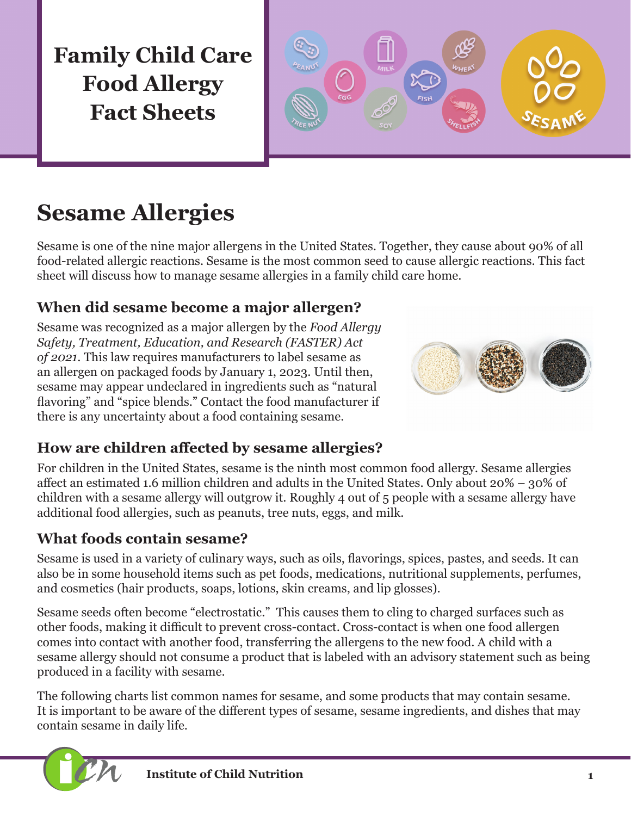**Family Child Care Food Allergy Fact Sheets**



# **Sesame Allergies**

Sesame is one of the nine major allergens in the United States. Together, they cause about 90% of all food-related allergic reactions. Sesame is the most common seed to cause allergic reactions. This fact sheet will discuss how to manage sesame allergies in a family child care home.

### **When did sesame become a major allergen?**

Sesame was recognized as a major allergen by the *Food Allergy Safety, Treatment, Education, and Research (FASTER) Act of 2021*. This law requires manufacturers to label sesame as an allergen on packaged foods by January 1, 2023. Until then, sesame may appear undeclared in ingredients such as "natural flavoring" and "spice blends." Contact the food manufacturer if there is any uncertainty about a food containing sesame.



### **How are children affected by sesame allergies?**

For children in the United States, sesame is the ninth most common food allergy. Sesame allergies affect an estimated 1.6 million children and adults in the United States. Only about 20% – 30% of children with a sesame allergy will outgrow it. Roughly 4 out of 5 people with a sesame allergy have additional food allergies, such as peanuts, tree nuts, eggs, and milk.

### **What foods contain sesame?**

Sesame is used in a variety of culinary ways, such as oils, flavorings, spices, pastes, and seeds. It can also be in some household items such as pet foods, medications, nutritional supplements, perfumes, and cosmetics (hair products, soaps, lotions, skin creams, and lip glosses).

Sesame seeds often become "electrostatic." This causes them to cling to charged surfaces such as other foods, making it difficult to prevent cross-contact. Cross-contact is when one food allergen comes into contact with another food, transferring the allergens to the new food. A child with a sesame allergy should not consume a product that is labeled with an advisory statement such as being produced in a facility with sesame.

The following charts list common names for sesame, and some products that may contain sesame. It is important to be aware of the different types of sesame, sesame ingredients, and dishes that may contain sesame in daily life.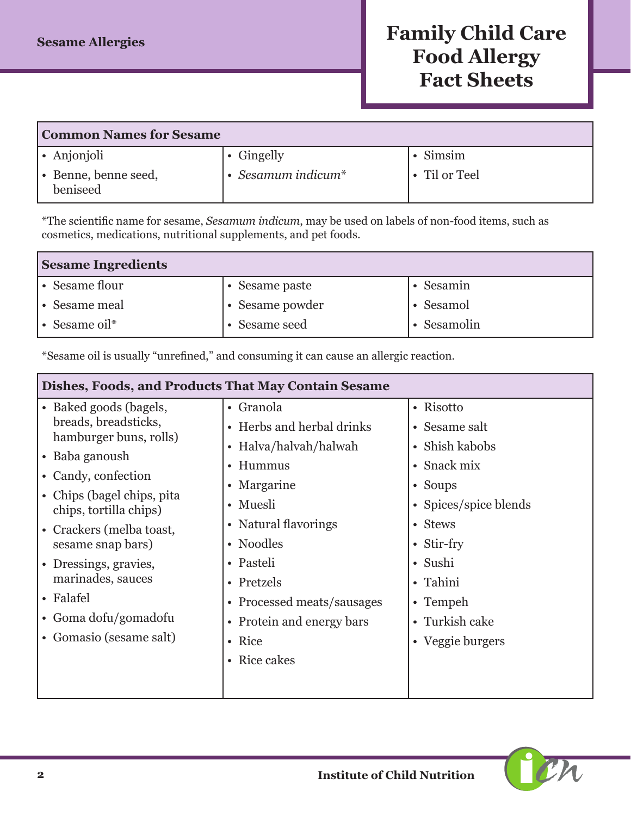# **Family Child Care Food Allergy Fact Sheets**

| <b>Common Names for Sesame</b>   |                          |                |  |
|----------------------------------|--------------------------|----------------|--|
| • Anjonjoli                      | • Gingelly               | $\cdot$ Simsim |  |
| • Benne, benne seed,<br>beniseed | $\cdot$ Sesamum indicum* | • Til or Teel  |  |

\*The scientific name for sesame, *Sesamum indicum*, may be used on labels of non-food items, such as cosmetics, medications, nutritional supplements, and pet foods.

| <b>Sesame Ingredients</b> |                 |           |  |
|---------------------------|-----------------|-----------|--|
| $\cdot$ Sesame flour      | • Sesame paste  | Sesamin   |  |
| ∣ • Sesame meal           | • Sesame powder | Sesamol   |  |
| $\cdot$ Sesame oil*       | • Sesame seed   | Sesamolin |  |

\*Sesame oil is usually "unrefined," and consuming it can cause an allergic reaction.

| Dishes, Foods, and Products That May Contain Sesame  |                            |                       |  |
|------------------------------------------------------|----------------------------|-----------------------|--|
| • Baked goods (bagels,                               | • Granola                  | • Risotto             |  |
| breads, breadsticks,                                 | • Herbs and herbal drinks  | • Sesame salt         |  |
| hamburger buns, rolls)                               | • Halva/halvah/halwah      | Shish kabobs          |  |
| • Baba ganoush                                       | • Hummus                   | • Snack mix           |  |
| • Candy, confection                                  | • Margarine                | $\bullet$ Soups       |  |
| • Chips (bagel chips, pita<br>chips, tortilla chips) | • Muesli                   | • Spices/spice blends |  |
| • Crackers (melba toast,<br>sesame snap bars)        | • Natural flavorings       | • Stews               |  |
|                                                      | • Noodles                  | • Stir-fry            |  |
| • Dressings, gravies,                                | • Pasteli                  | • Sushi               |  |
| marinades, sauces                                    | • Pretzels                 | • Tahini              |  |
| • Falafel                                            | • Processed meats/sausages | • Tempeh              |  |
| • Goma dofu/gomadofu                                 | • Protein and energy bars  | • Turkish cake        |  |
| • Gomasio (sesame salt)                              | • Rice                     | • Veggie burgers      |  |
|                                                      | • Rice cakes               |                       |  |
|                                                      |                            |                       |  |

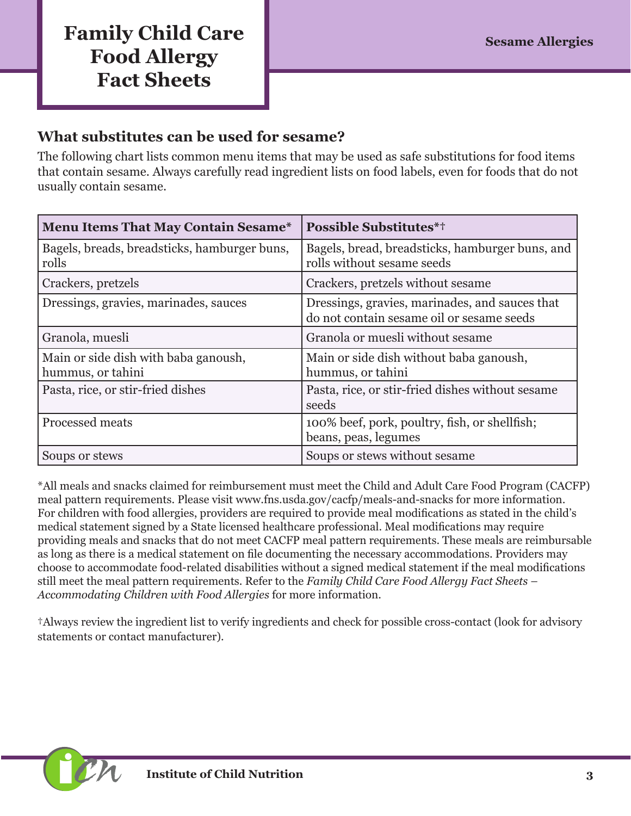## **Family Child Care Sesame Allergies Sesame Allergies Food Allergy Fact Sheets**

#### **What substitutes can be used for sesame?**

The following chart lists common menu items that may be used as safe substitutions for food items that contain sesame. Always carefully read ingredient lists on food labels, even for foods that do not usually contain sesame.

| <b>Menu Items That May Contain Sesame*</b>                | <b>Possible Substitutes*†</b>                                                               |
|-----------------------------------------------------------|---------------------------------------------------------------------------------------------|
| Bagels, breads, breadsticks, hamburger buns,<br>rolls     | Bagels, bread, breadsticks, hamburger buns, and<br>rolls without sesame seeds               |
| Crackers, pretzels                                        | Crackers, pretzels without sesame                                                           |
| Dressings, gravies, marinades, sauces                     | Dressings, gravies, marinades, and sauces that<br>do not contain sesame oil or sesame seeds |
| Granola, muesli                                           | Granola or muesli without sesame                                                            |
| Main or side dish with baba ganoush,<br>hummus, or tahini | Main or side dish without baba ganoush,<br>hummus, or tahini                                |
| Pasta, rice, or stir-fried dishes                         | Pasta, rice, or stir-fried dishes without sesame<br>seeds                                   |
| Processed meats                                           | 100% beef, pork, poultry, fish, or shellfish;<br>beans, peas, legumes                       |
| Soups or stews                                            | Soups or stews without sesame                                                               |

\*All meals and snacks claimed for reimbursement must meet the Child and Adult Care Food Program (CACFP) meal pattern requirements. Please visit [www.fns.usda.gov/cacfp/meals-and-snacks](http://www.fns.usda.gov/cacfp/meals-and-snacks) for more information. For children with food allergies, providers are required to provide meal modifications as stated in the child's medical statement signed by a State licensed healthcare professional. Meal modifications may require providing meals and snacks that do not meet CACFP meal pattern requirements. These meals are reimbursable as long as there is a medical statement on file documenting the necessary accommodations. Providers may choose to accommodate food-related disabilities without a signed medical statement if the meal modifications still meet the meal pattern requirements. Refer to the *Family Child Care Food Allergy Fact Sheets – Accommodating Children with Food Allergies* for more information.

†Always review the ingredient list to verify ingredients and check for possible cross-contact (look for advisory statements or contact manufacturer).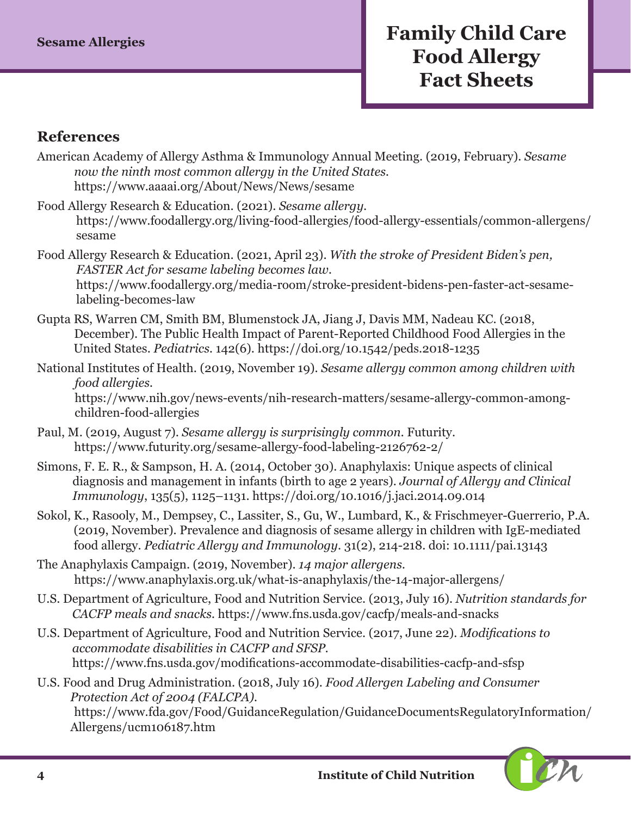#### **References**

- American Academy of Allergy Asthma & Immunology Annual Meeting. (2019, February). *Sesame now the ninth most common allergy in the United States.*  <https://www.aaaai.org/About/News/News/sesame>
- Food Allergy Research & Education. (2021). *Sesame allergy.* [https://www.foodallergy.org/living-food-allergies/food-allergy-essentials/common-allergens/](https://www.foodallergy.org/living-food-allergies/food-allergy-essentials/common-allergens/sesame) [sesame](https://www.foodallergy.org/living-food-allergies/food-allergy-essentials/common-allergens/sesame)
- Food Allergy Research & Education. (2021, April 23). *With the stroke of President Biden's pen, FASTER Act for sesame labeling becomes law.*  [https://www.foodallergy.org/media-room/stroke-president-bidens-pen-faster-act-sesame](https://www.foodallergy.org/media-room/stroke-president-bidens-pen-faster-act-sesame-labeling-becomes-law)[labeling-becomes-law](https://www.foodallergy.org/media-room/stroke-president-bidens-pen-faster-act-sesame-labeling-becomes-law)
- Gupta RS, Warren CM, Smith BM, Blumenstock JA, Jiang J, Davis MM, Nadeau KC. (2018, December). The Public Health Impact of Parent-Reported Childhood Food Allergies in the United States. *Pediatrics.* 142(6).<https://doi.org/10.1542/peds.2018-1235>
- National Institutes of Health. (2019, November 19). *Sesame allergy common among children with food allergies.*  https://www.nih.gov/news-events/nih-research-matters/sesame-allergy-common-amongchildren-food-allergies
- Paul, M. (2019, August 7). *Sesame allergy is surprisingly common.* Futurity. <https://www.futurity.org/sesame-allergy-food-labeling-2126762-2/>
- Simons, F. E. R., & Sampson, H. A. (2014, October 30). Anaphylaxis: Unique aspects of clinical diagnosis and management in infants (birth to age 2 years). *Journal of Allergy and Clinical Immunology*, 135(5), 1125–1131.<https://doi.org/10.1016/j.jaci.2014.09.014>
- Sokol, K., Rasooly, M., Dempsey, C., Lassiter, S., Gu, W., Lumbard, K., & Frischmeyer-Guerrerio, P.A. (2019, November). Prevalence and diagnosis of sesame allergy in children with IgE-mediated food allergy. *Pediatric Allergy and Immunology*. 31(2), 214-218. doi: 10.1111/pai.13143
- The Anaphylaxis Campaign. (2019, November). *14 major allergens.* <https://www.anaphylaxis.org.uk/what-is-anaphylaxis/the-14-major-allergens/>
- U.S. Department of Agriculture, Food and Nutrition Service. (2013, July 16). *Nutrition standards for CACFP meals and snacks.* https://www.fns.usda.gov/cacfp/meals-and-snacks
- U.S. Department of Agriculture, Food and Nutrition Service. (2017, June 22). *Modifications to accommodate disabilities in CACFP and SFSP.* <https://www.fns.usda.gov/modifications-accommodate-disabilities-cacfp-and-sfsp>
- U.S. Food and Drug Administration. (2018, July 16). *Food Allergen Labeling and Consumer Protection Act of 2004 (FALCPA).* https://www.fda.gov/Food/GuidanceRegulation/GuidanceDocumentsRegulatoryInformation/ Allergens/ucm106187.htm

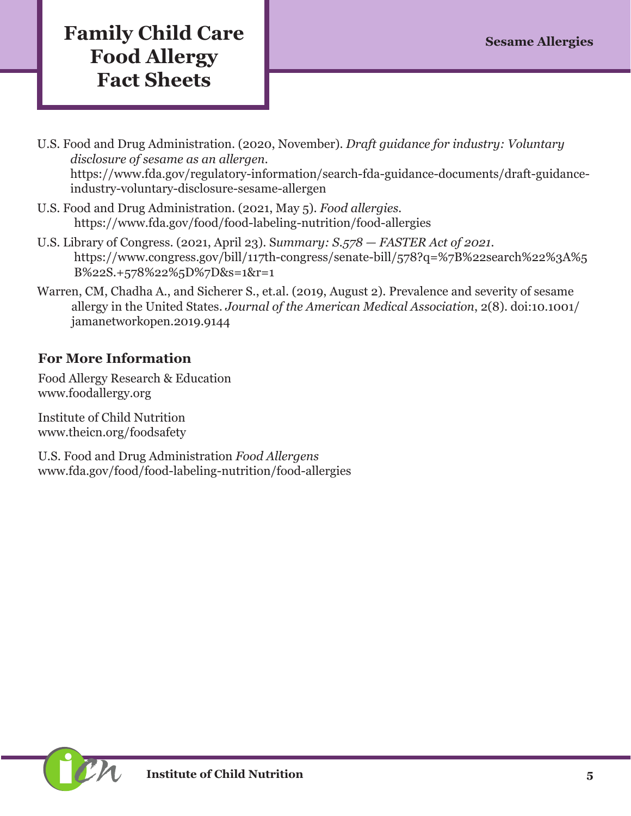# **Family Child Care Sesame Allergies Food Allergy Fact Sheets**

- U.S. Food and Drug Administration. (2020, November). *Draft guidance for industry: Voluntary disclosure of sesame as an allergen.* https://www.fda.gov/regulatory-information/search-fda-guidance-documents/draft-guidanceindustry-voluntary-disclosure-sesame-allergen
- U.S. Food and Drug Administration. (2021, May 5). *Food allergies.*  <https://www.fda.gov/food/food-labeling-nutrition/food-allergies>
- U.S. Library of Congress. (2021, April 23). S*ummary: S.578 FASTER Act of 2021.* https://www.congress.gov/bill/117th-congress/senate-bill/578?q=%7B%22search%22%3A%5 B%22S.+578%22%5D%7D&s=1&r=1
- Warren, CM, Chadha A., and Sicherer S., [et.al](http://et.al). (2019, August 2). Prevalence and severity of sesame allergy in the United States. *Journal of the American Medical Association*, 2(8). doi:10.1001/ jamanetworkopen.2019.9144

#### **For More Information**

Food Allergy Research & Education [www.foodallergy.org](http://www.foodallergy.org)

Institute of Child Nutrition [www.theicn.org/foodsafety](http://www.theicn.org/foodsafety)

U.S. Food and Drug Administration *Food Allergens* [www.fda.gov/food/food-labeling-nutrition/food-allergies](https://www.fda.gov/food/food-labeling-nutrition/food-allergies)